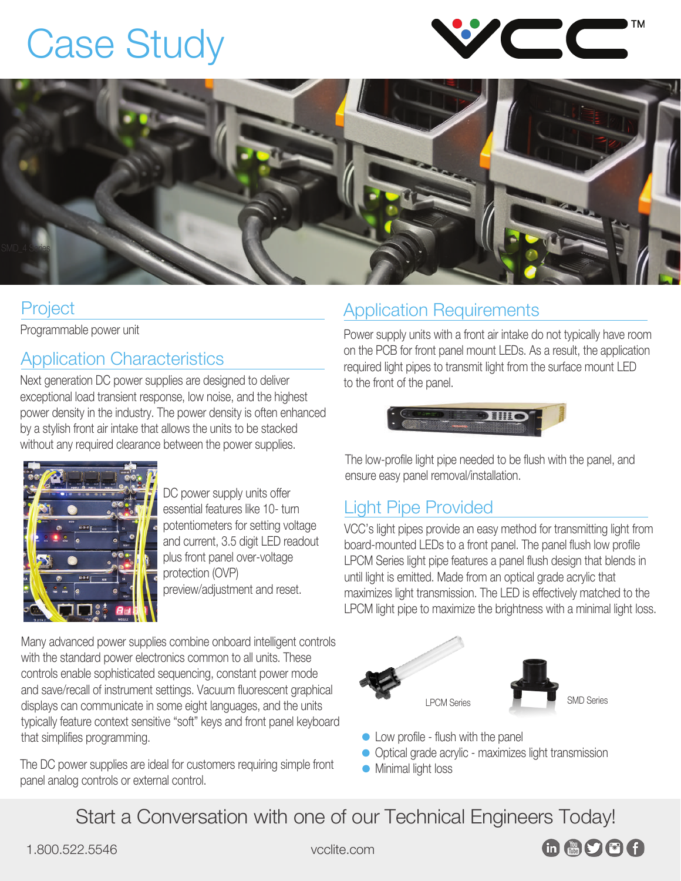## [Case Study](https://vcclite.com/light-pipe-for-intelligent-control-units-case-study/)





#### Project

Programmable power unit

#### Application Characteristics

Next generation DC power supplies are designed to deliver exceptional load transient response, low noise, and the highest power density in the industry. The power density is often enhanced by a stylish front air intake that allows the units to be stacked without any required clearance between the power supplies.



DC power supply units offer essential features like 10- turn potentiometers for setting voltage and current, 3.5 digit LED readout plus front panel over-voltage protection (OVP) preview/adjustment and reset.

Many advanced power supplies combine onboard intelligent controls with the standard power electronics common to all units. These controls enable sophisticated sequencing, constant power mode and save/recall of instrument settings. Vacuum fluorescent graphical displays can communicate in some eight languages, and the units typically feature context sensitive "soft" keys and front panel keyboard that simplifies programming.

The DC power supplies are ideal for customers requiring simple front panel analog controls or external control.

#### Application Requirements

Power supply units with a front air intake do not typically have room on the PCB for front panel mount LEDs. As a result, the application required light pipes to transmit light from the surface mount LED to the front of the panel.



The low-profile light pipe needed to be flush with the panel, and ensure easy panel removal/installation.

#### Light Pipe Provided

VCC's light pipes provide an easy method for transmitting light from board-mounted LEDs to a front panel. The panel flush low profile LPCM Series light pipe features a panel flush design that blends in until light is emitted. Made from an optical grade acrylic that maximizes light transmission. The LED is effectively matched to the L[PCM light pipe to maximize](https://vcclite.com/product-category/light-pipes/board-mount-linear-light-pipes/lpcm-series-board-mount-linear-light-pipes/) the brightness with a minimal light loss.





**in AOCA** 

- Low profile flush with the panel
- Optical grade acrylic maximizes light transmission
- **Minimal light loss**

Start a Conversation with one of our Technical Engineers Today!